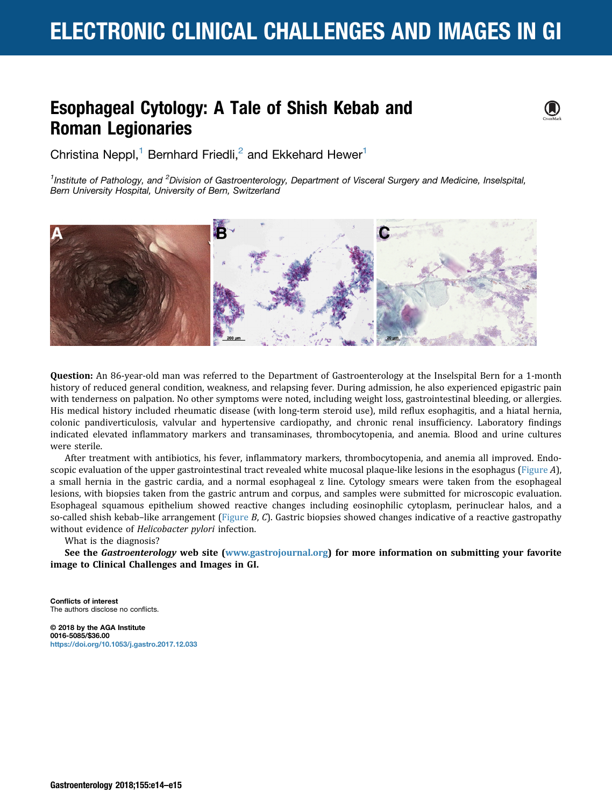# <span id="page-0-0"></span>ELECTRONIC CLINICAL CHALLENGES AND IMAGES IN GI

 $\bf O$ 

### Esophageal Cytology: A Tale of Shish Kebab and Roman Legionaries

Christina Neppl,<sup>1</sup> Bernhard Friedli,<sup>2</sup> and Ekkehard Hewer<sup>1</sup>

<sup>1</sup>Institute of Pathology, and <sup>2</sup>Division of Gastroenterology, Department of Visceral Surgery and Medicine, Inselspital, Bern University Hospital, University of Bern, Switzerland



Question: An 86-year-old man was referred to the Department of Gastroenterology at the Inselspital Bern for a 1-month history of reduced general condition, weakness, and relapsing fever. During admission, he also experienced epigastric pain with tenderness on palpation. No other symptoms were noted, including weight loss, gastrointestinal bleeding, or allergies. His medical history included rheumatic disease (with long-term steroid use), mild reflux esophagitis, and a hiatal hernia, colonic pandiverticulosis, valvular and hypertensive cardiopathy, and chronic renal insufficiency. Laboratory findings indicated elevated inflammatory markers and transaminases, thrombocytopenia, and anemia. Blood and urine cultures were sterile.

After treatment with antibiotics, his fever, inflammatory markers, thrombocytopenia, and anemia all improved. Endoscopic evaluation of the upper gastrointestinal tract revealed white mucosal plaque-like lesions in the esophagus (Figure A), a small hernia in the gastric cardia, and a normal esophageal z line. Cytology smears were taken from the esophageal lesions, with biopsies taken from the gastric antrum and corpus, and samples were submitted for microscopic evaluation. Esophageal squamous epithelium showed reactive changes including eosinophilic cytoplasm, perinuclear halos, and a so-called shish kebab–like arrangement (Figure  $B$ ,  $C$ ). Gastric biopsies showed changes indicative of a reactive gastropathy without evidence of Helicobacter pylori infection.

What is the diagnosis?

See the Gastroenterology web site ([www.gastrojournal.org](http://www.gastrojournal.org)) for more information on submitting your favorite image to Clinical Challenges and Images in GI.

Conflicts of interest The authors disclose no conflicts.

© 2018 by the AGA Institute 0016-5085/\$36.00 <https://doi.org/10.1053/j.gastro.2017.12.033>